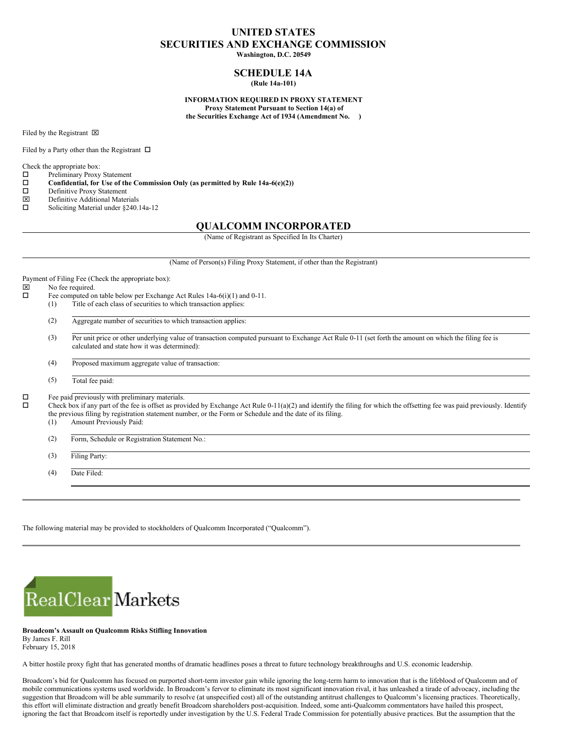# **UNITED STATES SECURITIES AND EXCHANGE COMMISSION**

**Washington, D.C. 20549**

# **SCHEDULE 14A (Rule 14a-101)**

**INFORMATION REQUIRED IN PROXY STATEMENT Proxy Statement Pursuant to Section 14(a) of the Securities Exchange Act of 1934 (Amendment No. )**

Filed by the Registrant  $\boxtimes$ 

Filed by a Party other than the Registrant  $\Box$ 

Check the appropriate box:

- $\square$  Preliminary Proxy Statement<br> $\square$  Confidential, for Use of the
- **Confidential, for** Use of the Commission Only (as permitted by Rule 14a-6(e)(2))  $\Box$  Definitive Proxy Statement
- $\square$  Definitive Proxy Statement<br> $\square$  Definitive Additional Mater
- $\boxtimes$  Definitive Additional Materials<br>  $\square$  Soliciting Material under 8240.
- Soliciting Material under §240.14a-12

# **QUALCOMM INCORPORATED**

(Name of Registrant as Specified In Its Charter)

|             |                                                                        | (Name of Person(s) Filing Proxy Statement, if other than the Registrant)                                                                                                                                                                                                                                                                                               |
|-------------|------------------------------------------------------------------------|------------------------------------------------------------------------------------------------------------------------------------------------------------------------------------------------------------------------------------------------------------------------------------------------------------------------------------------------------------------------|
| ×<br>$\Box$ | Payment of Filing Fee (Check the appropriate box):<br>No fee required. |                                                                                                                                                                                                                                                                                                                                                                        |
|             |                                                                        | Fee computed on table below per Exchange Act Rules $14a-6(i)(1)$ and $0-11$ .                                                                                                                                                                                                                                                                                          |
|             | (1)                                                                    | Title of each class of securities to which transaction applies:                                                                                                                                                                                                                                                                                                        |
|             | (2)                                                                    | Aggregate number of securities to which transaction applies:                                                                                                                                                                                                                                                                                                           |
|             | (3)                                                                    | Per unit price or other underlying value of transaction computed pursuant to Exchange Act Rule 0-11 (set forth the amount on which the filing fee is<br>calculated and state how it was determined):                                                                                                                                                                   |
|             | (4)                                                                    | Proposed maximum aggregate value of transaction:                                                                                                                                                                                                                                                                                                                       |
|             | (5)                                                                    | Total fee paid:                                                                                                                                                                                                                                                                                                                                                        |
| Д<br>$\Box$ | (1)                                                                    | Fee paid previously with preliminary materials.<br>Check box if any part of the fee is offset as provided by Exchange Act Rule $0-11(a)(2)$ and identify the filing for which the offsetting fee was paid previously. Identify<br>the previous filing by registration statement number, or the Form or Schedule and the date of its filing.<br>Amount Previously Paid: |
|             | (2)                                                                    | Form, Schedule or Registration Statement No.:                                                                                                                                                                                                                                                                                                                          |
|             | (3)                                                                    | Filing Party:                                                                                                                                                                                                                                                                                                                                                          |
|             | (4)                                                                    | Date Filed:                                                                                                                                                                                                                                                                                                                                                            |

The following material may be provided to stockholders of Qualcomm Incorporated ("Qualcomm").



**Broadcom's Assault on Qualcomm Risks Stifling Innovation** By James F. Rill February 15, 2018

A bitter hostile proxy fight that has generated months of dramatic headlines poses a threat to future technology breakthroughs and U.S. economic leadership.

Broadcom's bid for Qualcomm has focused on purported short-term investor gain while ignoring the long-term harm to innovation that is the lifeblood of Qualcomm and of mobile communications systems used worldwide. In Broadcom's fervor to eliminate its most significant innovation rival, it has unleashed a tirade of advocacy, including the suggestion that Broadcom will be able summarily to resolve (at unspecified cost) all of the outstanding antitrust challenges to Qualcomm's licensing practices. Theoretically, this effort will eliminate distraction and greatly benefit Broadcom shareholders post-acquisition. Indeed, some anti-Qualcomm commentators have hailed this prospect, ignoring the fact that Broadcom itself is reportedly under investigation by the U.S. Federal Trade Commission for potentially abusive practices. But the assumption that the